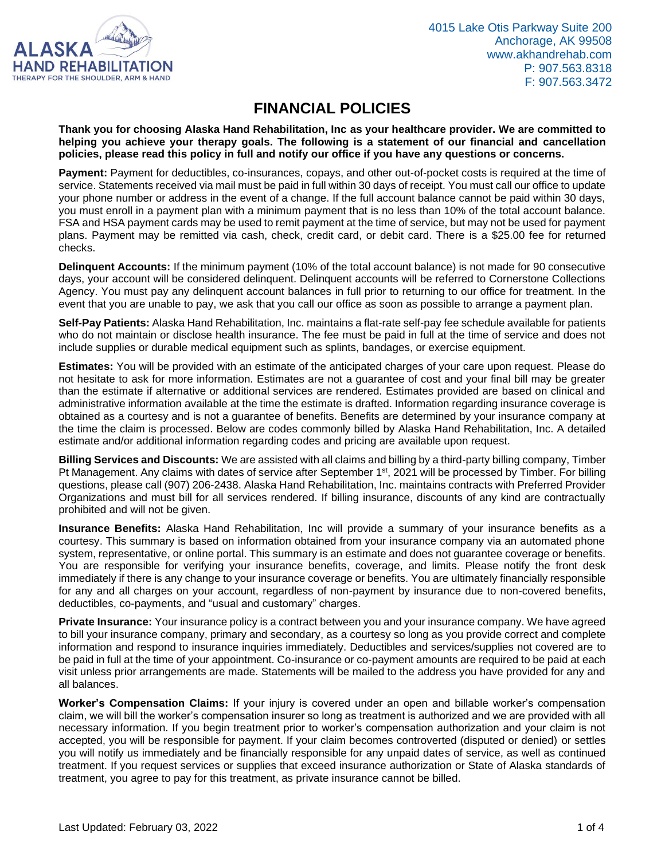

## **FINANCIAL POLICIES**

**Thank you for choosing Alaska Hand Rehabilitation, Inc as your healthcare provider. We are committed to helping you achieve your therapy goals. The following is a statement of our financial and cancellation policies, please read this policy in full and notify our office if you have any questions or concerns.**

**Payment:** Payment for deductibles, co-insurances, copays, and other out-of-pocket costs is required at the time of service. Statements received via mail must be paid in full within 30 days of receipt. You must call our office to update your phone number or address in the event of a change. If the full account balance cannot be paid within 30 days, you must enroll in a payment plan with a minimum payment that is no less than 10% of the total account balance. FSA and HSA payment cards may be used to remit payment at the time of service, but may not be used for payment plans. Payment may be remitted via cash, check, credit card, or debit card. There is a \$25.00 fee for returned checks.

**Delinquent Accounts:** If the minimum payment (10% of the total account balance) is not made for 90 consecutive days, your account will be considered delinquent. Delinquent accounts will be referred to Cornerstone Collections Agency. You must pay any delinquent account balances in full prior to returning to our office for treatment. In the event that you are unable to pay, we ask that you call our office as soon as possible to arrange a payment plan.

**Self-Pay Patients:** Alaska Hand Rehabilitation, Inc. maintains a flat-rate self-pay fee schedule available for patients who do not maintain or disclose health insurance. The fee must be paid in full at the time of service and does not include supplies or durable medical equipment such as splints, bandages, or exercise equipment.

**Estimates:** You will be provided with an estimate of the anticipated charges of your care upon request. Please do not hesitate to ask for more information. Estimates are not a guarantee of cost and your final bill may be greater than the estimate if alternative or additional services are rendered. Estimates provided are based on clinical and administrative information available at the time the estimate is drafted. Information regarding insurance coverage is obtained as a courtesy and is not a guarantee of benefits. Benefits are determined by your insurance company at the time the claim is processed. Below are codes commonly billed by Alaska Hand Rehabilitation, Inc. A detailed estimate and/or additional information regarding codes and pricing are available upon request.

**Billing Services and Discounts:** We are assisted with all claims and billing by a third-party billing company, Timber Pt Management. Any claims with dates of service after September 1<sup>st</sup>, 2021 will be processed by Timber. For billing questions, please call (907) 206-2438. Alaska Hand Rehabilitation, Inc. maintains contracts with Preferred Provider Organizations and must bill for all services rendered. If billing insurance, discounts of any kind are contractually prohibited and will not be given.

**Insurance Benefits:** Alaska Hand Rehabilitation, Inc will provide a summary of your insurance benefits as a courtesy. This summary is based on information obtained from your insurance company via an automated phone system, representative, or online portal. This summary is an estimate and does not guarantee coverage or benefits. You are responsible for verifying your insurance benefits, coverage, and limits. Please notify the front desk immediately if there is any change to your insurance coverage or benefits. You are ultimately financially responsible for any and all charges on your account, regardless of non-payment by insurance due to non-covered benefits, deductibles, co-payments, and "usual and customary" charges.

**Private Insurance:** Your insurance policy is a contract between you and your insurance company. We have agreed to bill your insurance company, primary and secondary, as a courtesy so long as you provide correct and complete information and respond to insurance inquiries immediately. Deductibles and services/supplies not covered are to be paid in full at the time of your appointment. Co-insurance or co-payment amounts are required to be paid at each visit unless prior arrangements are made. Statements will be mailed to the address you have provided for any and all balances.

**Worker's Compensation Claims:** If your injury is covered under an open and billable worker's compensation claim, we will bill the worker's compensation insurer so long as treatment is authorized and we are provided with all necessary information. If you begin treatment prior to worker's compensation authorization and your claim is not accepted, you will be responsible for payment. If your claim becomes controverted (disputed or denied) or settles you will notify us immediately and be financially responsible for any unpaid dates of service, as well as continued treatment. If you request services or supplies that exceed insurance authorization or State of Alaska standards of treatment, you agree to pay for this treatment, as private insurance cannot be billed.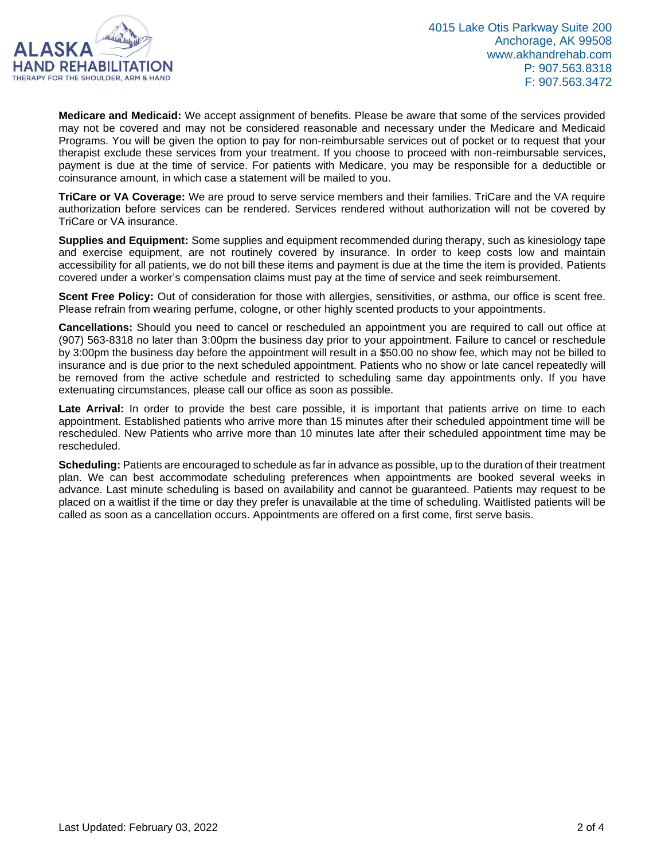

**Medicare and Medicaid:** We accept assignment of benefits. Please be aware that some of the services provided may not be covered and may not be considered reasonable and necessary under the Medicare and Medicaid Programs. You will be given the option to pay for non-reimbursable services out of pocket or to request that your therapist exclude these services from your treatment. If you choose to proceed with non-reimbursable services, payment is due at the time of service. For patients with Medicare, you may be responsible for a deductible or coinsurance amount, in which case a statement will be mailed to you.

**TriCare or VA Coverage:** We are proud to serve service members and their families. TriCare and the VA require authorization before services can be rendered. Services rendered without authorization will not be covered by TriCare or VA insurance.

**Supplies and Equipment:** Some supplies and equipment recommended during therapy, such as kinesiology tape and exercise equipment, are not routinely covered by insurance. In order to keep costs low and maintain accessibility for all patients, we do not bill these items and payment is due at the time the item is provided. Patients covered under a worker's compensation claims must pay at the time of service and seek reimbursement.

**Scent Free Policy:** Out of consideration for those with allergies, sensitivities, or asthma, our office is scent free. Please refrain from wearing perfume, cologne, or other highly scented products to your appointments.

**Cancellations:** Should you need to cancel or rescheduled an appointment you are required to call out office at (907) 563-8318 no later than 3:00pm the business day prior to your appointment. Failure to cancel or reschedule by 3:00pm the business day before the appointment will result in a \$50.00 no show fee, which may not be billed to insurance and is due prior to the next scheduled appointment. Patients who no show or late cancel repeatedly will be removed from the active schedule and restricted to scheduling same day appointments only. If you have extenuating circumstances, please call our office as soon as possible.

Late Arrival: In order to provide the best care possible, it is important that patients arrive on time to each appointment. Established patients who arrive more than 15 minutes after their scheduled appointment time will be rescheduled. New Patients who arrive more than 10 minutes late after their scheduled appointment time may be rescheduled.

**Scheduling:** Patients are encouraged to schedule as far in advance as possible, up to the duration of their treatment plan. We can best accommodate scheduling preferences when appointments are booked several weeks in advance. Last minute scheduling is based on availability and cannot be guaranteed. Patients may request to be placed on a waitlist if the time or day they prefer is unavailable at the time of scheduling. Waitlisted patients will be called as soon as a cancellation occurs. Appointments are offered on a first come, first serve basis.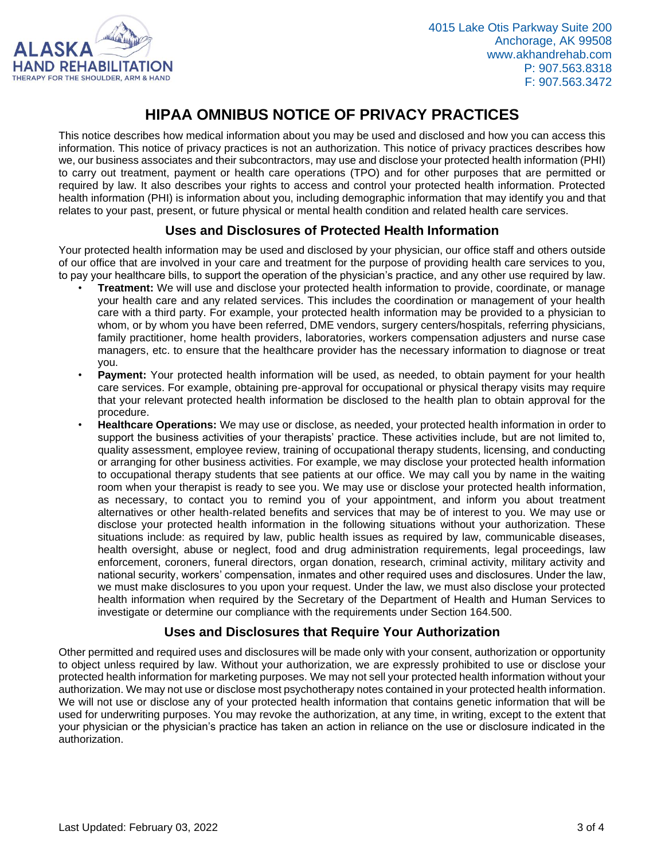

# **HIPAA OMNIBUS NOTICE OF PRIVACY PRACTICES**

This notice describes how medical information about you may be used and disclosed and how you can access this information. This notice of privacy practices is not an authorization. This notice of privacy practices describes how we, our business associates and their subcontractors, may use and disclose your protected health information (PHI) to carry out treatment, payment or health care operations (TPO) and for other purposes that are permitted or required by law. It also describes your rights to access and control your protected health information. Protected health information (PHI) is information about you, including demographic information that may identify you and that relates to your past, present, or future physical or mental health condition and related health care services.

#### **Uses and Disclosures of Protected Health Information**

Your protected health information may be used and disclosed by your physician, our office staff and others outside of our office that are involved in your care and treatment for the purpose of providing health care services to you, to pay your healthcare bills, to support the operation of the physician's practice, and any other use required by law.

- **Treatment:** We will use and disclose your protected health information to provide, coordinate, or manage your health care and any related services. This includes the coordination or management of your health care with a third party. For example, your protected health information may be provided to a physician to whom, or by whom you have been referred, DME vendors, surgery centers/hospitals, referring physicians, family practitioner, home health providers, laboratories, workers compensation adjusters and nurse case managers, etc. to ensure that the healthcare provider has the necessary information to diagnose or treat you.
- **Payment:** Your protected health information will be used, as needed, to obtain payment for your health care services. For example, obtaining pre-approval for occupational or physical therapy visits may require that your relevant protected health information be disclosed to the health plan to obtain approval for the procedure.
- **Healthcare Operations:** We may use or disclose, as needed, your protected health information in order to support the business activities of your therapists' practice. These activities include, but are not limited to, quality assessment, employee review, training of occupational therapy students, licensing, and conducting or arranging for other business activities. For example, we may disclose your protected health information to occupational therapy students that see patients at our office. We may call you by name in the waiting room when your therapist is ready to see you. We may use or disclose your protected health information, as necessary, to contact you to remind you of your appointment, and inform you about treatment alternatives or other health-related benefits and services that may be of interest to you. We may use or disclose your protected health information in the following situations without your authorization. These situations include: as required by law, public health issues as required by law, communicable diseases, health oversight, abuse or neglect, food and drug administration requirements, legal proceedings, law enforcement, coroners, funeral directors, organ donation, research, criminal activity, military activity and national security, workers' compensation, inmates and other required uses and disclosures. Under the law, we must make disclosures to you upon your request. Under the law, we must also disclose your protected health information when required by the Secretary of the Department of Health and Human Services to investigate or determine our compliance with the requirements under Section 164.500.

### **Uses and Disclosures that Require Your Authorization**

Other permitted and required uses and disclosures will be made only with your consent, authorization or opportunity to object unless required by law. Without your authorization, we are expressly prohibited to use or disclose your protected health information for marketing purposes. We may not sell your protected health information without your authorization. We may not use or disclose most psychotherapy notes contained in your protected health information. We will not use or disclose any of your protected health information that contains genetic information that will be used for underwriting purposes. You may revoke the authorization, at any time, in writing, except to the extent that your physician or the physician's practice has taken an action in reliance on the use or disclosure indicated in the authorization.